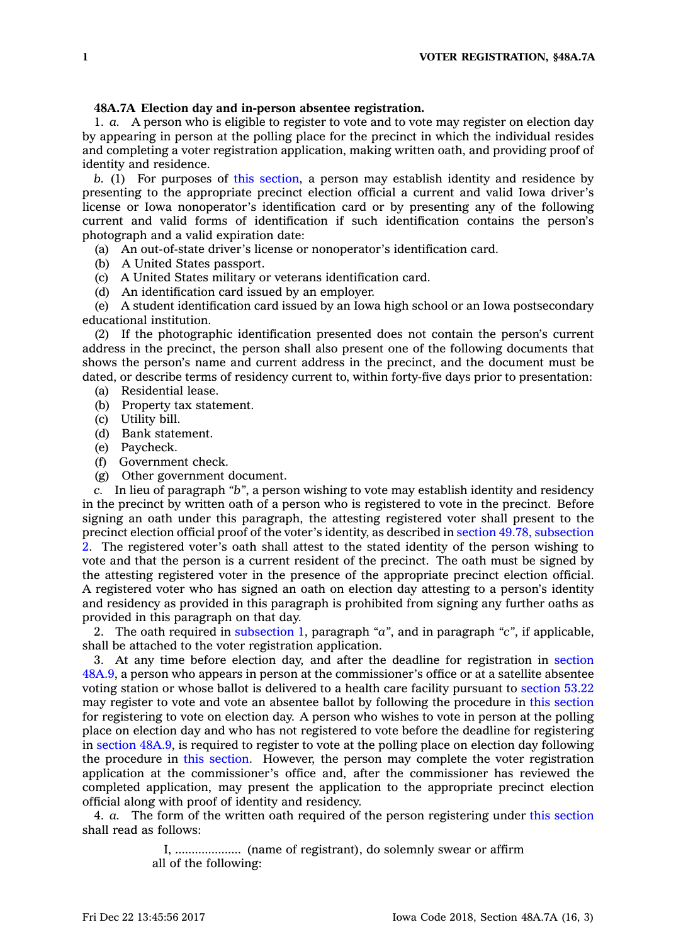## **48A.7A Election day and in-person absentee registration.**

1. *a.* A person who is eligible to register to vote and to vote may register on election day by appearing in person at the polling place for the precinct in which the individual resides and completing <sup>a</sup> voter registration application, making written oath, and providing proof of identity and residence.

*b.* (1) For purposes of this [section](https://www.legis.iowa.gov/docs/code/48A.7A.pdf), <sup>a</sup> person may establish identity and residence by presenting to the appropriate precinct election official <sup>a</sup> current and valid Iowa driver's license or Iowa nonoperator's identification card or by presenting any of the following current and valid forms of identification if such identification contains the person's photograph and <sup>a</sup> valid expiration date:

(a) An out-of-state driver's license or nonoperator's identification card.

(b) A United States passport.

(c) A United States military or veterans identification card.

(d) An identification card issued by an employer.

(e) A student identification card issued by an Iowa high school or an Iowa postsecondary educational institution.

(2) If the photographic identification presented does not contain the person's current address in the precinct, the person shall also present one of the following documents that shows the person's name and current address in the precinct, and the document must be dated, or describe terms of residency current to, within forty-five days prior to presentation:

- (a) Residential lease.
- (b) Property tax statement.
- (c) Utility bill.
- (d) Bank statement.
- (e) Paycheck.
- (f) Government check.
- (g) Other government document.

*c.* In lieu of paragraph *"b"*, <sup>a</sup> person wishing to vote may establish identity and residency in the precinct by written oath of <sup>a</sup> person who is registered to vote in the precinct. Before signing an oath under this paragraph, the attesting registered voter shall present to the precinct election official proof of the voter's identity, as described in section 49.78, [subsection](https://www.legis.iowa.gov/docs/code/49.78.pdf)

[2](https://www.legis.iowa.gov/docs/code/49.78.pdf). The registered voter's oath shall attest to the stated identity of the person wishing to vote and that the person is <sup>a</sup> current resident of the precinct. The oath must be signed by the attesting registered voter in the presence of the appropriate precinct election official. A registered voter who has signed an oath on election day attesting to <sup>a</sup> person's identity and residency as provided in this paragraph is prohibited from signing any further oaths as provided in this paragraph on that day.

2. The oath required in [subsection](https://www.legis.iowa.gov/docs/code/48A.7A.pdf) 1, paragraph *"a"*, and in paragraph *"c"*, if applicable, shall be attached to the voter registration application.

3. At any time before election day, and after the deadline for registration in [section](https://www.legis.iowa.gov/docs/code/48A.9.pdf) [48A.9](https://www.legis.iowa.gov/docs/code/48A.9.pdf), <sup>a</sup> person who appears in person at the commissioner's office or at <sup>a</sup> satellite absentee voting station or whose ballot is delivered to <sup>a</sup> health care facility pursuant to [section](https://www.legis.iowa.gov/docs/code/53.22.pdf) 53.22 may register to vote and vote an absentee ballot by following the procedure in this [section](https://www.legis.iowa.gov/docs/code/48A.7A.pdf) for registering to vote on election day. A person who wishes to vote in person at the polling place on election day and who has not registered to vote before the deadline for registering in section [48A.9](https://www.legis.iowa.gov/docs/code/48A.9.pdf), is required to register to vote at the polling place on election day following the procedure in this [section](https://www.legis.iowa.gov/docs/code/48A.7A.pdf). However, the person may complete the voter registration application at the commissioner's office and, after the commissioner has reviewed the completed application, may present the application to the appropriate precinct election official along with proof of identity and residency.

4. *a.* The form of the written oath required of the person registering under this [section](https://www.legis.iowa.gov/docs/code/48A.7A.pdf) shall read as follows:

> I, .................... (name of registrant), do solemnly swear or affirm all of the following: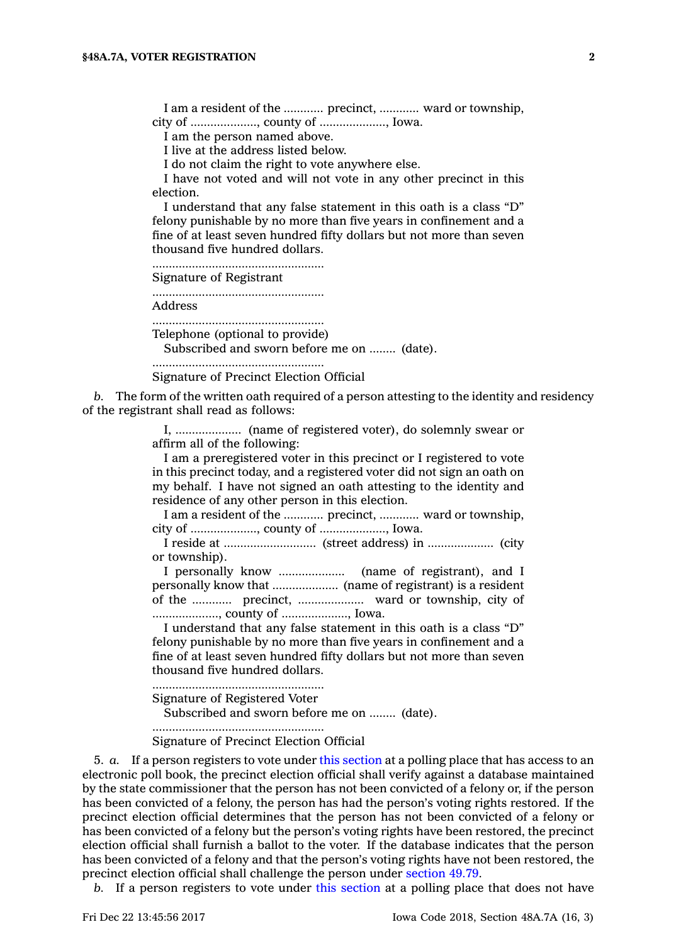I am <sup>a</sup> resident of the ............ precinct, ............ ward or township, city of ...................., county of ...................., Iowa.

I am the person named above.

I live at the address listed below.

I do not claim the right to vote anywhere else.

I have not voted and will not vote in any other precinct in this election.

I understand that any false statement in this oath is <sup>a</sup> class "D" felony punishable by no more than five years in confinement and <sup>a</sup> fine of at least seven hundred fifty dollars but not more than seven thousand five hundred dollars.

.................................................... Signature of Registrant

....................................................

Address

.................................................... Telephone (optional to provide)

Subscribed and sworn before me on ........ (date).

....................................................

Signature of Precinct Election Official

*b.* The form of the written oath required of <sup>a</sup> person attesting to the identity and residency of the registrant shall read as follows:

> I, .................... (name of registered voter), do solemnly swear or affirm all of the following:

> I am <sup>a</sup> preregistered voter in this precinct or I registered to vote in this precinct today, and <sup>a</sup> registered voter did not sign an oath on my behalf. I have not signed an oath attesting to the identity and residence of any other person in this election.

> I am <sup>a</sup> resident of the ............ precinct, ............ ward or township, city of ...................., county of ...................., Iowa.

> I reside at ............................ (street address) in .................... (city or township).

> I personally know .................... (name of registrant), and I personally know that .................... (name of registrant) is <sup>a</sup> resident of the ............ precinct, .................... ward or township, city of ...................., county of ...................., Iowa.

> I understand that any false statement in this oath is <sup>a</sup> class "D" felony punishable by no more than five years in confinement and <sup>a</sup> fine of at least seven hundred fifty dollars but not more than seven thousand five hundred dollars.

.................................................... Signature of Registered Voter

Subscribed and sworn before me on ........ (date).

....................................................

Signature of Precinct Election Official

5. *a.* If <sup>a</sup> person registers to vote under this [section](https://www.legis.iowa.gov/docs/code/48A.7A.pdf) at <sup>a</sup> polling place that has access to an electronic poll book, the precinct election official shall verify against <sup>a</sup> database maintained by the state commissioner that the person has not been convicted of <sup>a</sup> felony or, if the person has been convicted of <sup>a</sup> felony, the person has had the person's voting rights restored. If the precinct election official determines that the person has not been convicted of <sup>a</sup> felony or has been convicted of <sup>a</sup> felony but the person's voting rights have been restored, the precinct election official shall furnish <sup>a</sup> ballot to the voter. If the database indicates that the person has been convicted of <sup>a</sup> felony and that the person's voting rights have not been restored, the precinct election official shall challenge the person under [section](https://www.legis.iowa.gov/docs/code/49.79.pdf) 49.79.

*b.* If <sup>a</sup> person registers to vote under this [section](https://www.legis.iowa.gov/docs/code/48A.7A.pdf) at <sup>a</sup> polling place that does not have